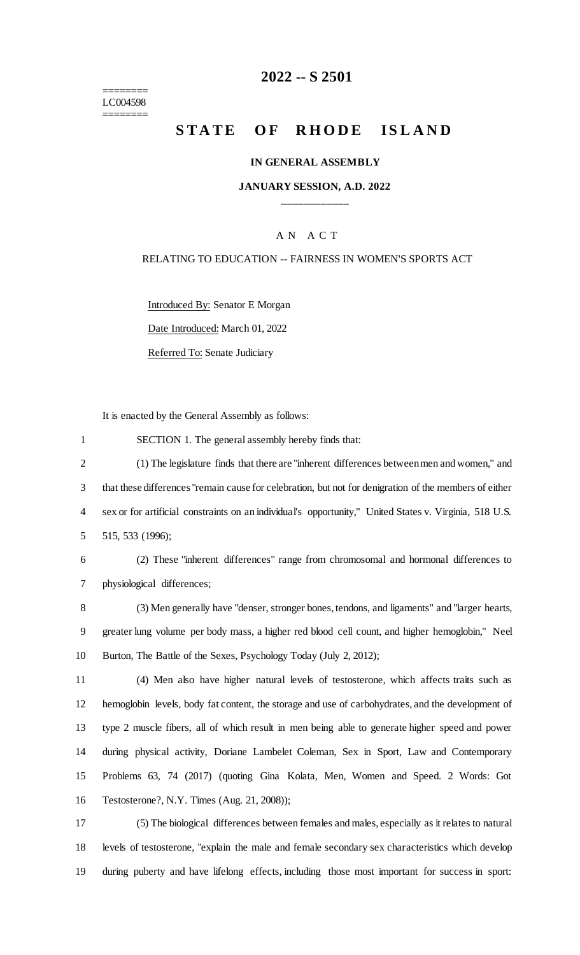======== LC004598 ========

# **-- S 2501**

# **STATE OF RHODE ISLAND**

#### **IN GENERAL ASSEMBLY**

### **JANUARY SESSION, A.D. 2022 \_\_\_\_\_\_\_\_\_\_\_\_**

### A N A C T

### RELATING TO EDUCATION -- FAIRNESS IN WOMEN'S SPORTS ACT

Introduced By: Senator E Morgan

Date Introduced: March 01, 2022

Referred To: Senate Judiciary

It is enacted by the General Assembly as follows:

SECTION 1. The general assembly hereby finds that:

 (1) The legislature finds that there are "inherent differences between men and women," and that these differences "remain cause for celebration, but not for denigration of the members of either sex or for artificial constraints on an individual's opportunity," United States v. Virginia, 518 U.S. 515, 533 (1996);

 (2) These "inherent differences" range from chromosomal and hormonal differences to physiological differences;

 (3) Men generally have "denser, stronger bones, tendons, and ligaments" and "larger hearts, greater lung volume per body mass, a higher red blood cell count, and higher hemoglobin," Neel Burton, The Battle of the Sexes, Psychology Today (July 2, 2012);

 (4) Men also have higher natural levels of testosterone, which affects traits such as hemoglobin levels, body fat content, the storage and use of carbohydrates, and the development of type 2 muscle fibers, all of which result in men being able to generate higher speed and power during physical activity, Doriane Lambelet Coleman, Sex in Sport, Law and Contemporary Problems 63, 74 (2017) (quoting Gina Kolata, Men, Women and Speed. 2 Words: Got Testosterone?, N.Y. Times (Aug. 21, 2008));

 (5) The biological differences between females and males, especially as it relates to natural levels of testosterone, "explain the male and female secondary sex characteristics which develop during puberty and have lifelong effects, including those most important for success in sport: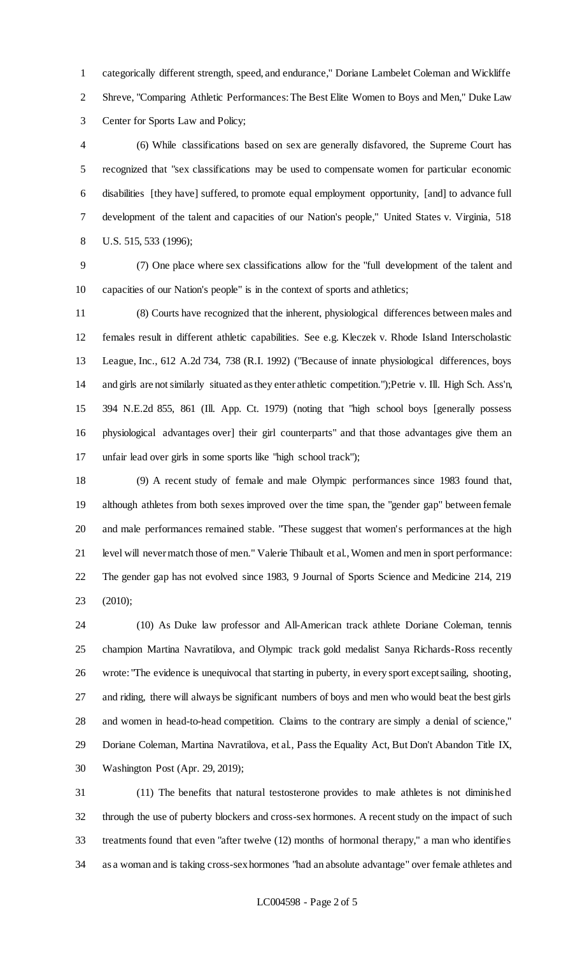categorically different strength, speed, and endurance," Doriane Lambelet Coleman and Wickliffe Shreve, "Comparing Athletic Performances: The Best Elite Women to Boys and Men," Duke Law Center for Sports Law and Policy;

 (6) While classifications based on sex are generally disfavored, the Supreme Court has recognized that "sex classifications may be used to compensate women for particular economic disabilities [they have] suffered, to promote equal employment opportunity, [and] to advance full development of the talent and capacities of our Nation's people," United States v. Virginia, 518 U.S. 515, 533 (1996);

 (7) One place where sex classifications allow for the "full development of the talent and capacities of our Nation's people" is in the context of sports and athletics;

 (8) Courts have recognized that the inherent, physiological differences between males and females result in different athletic capabilities. See e.g. Kleczek v. Rhode Island Interscholastic League, Inc., 612 A.2d 734, 738 (R.I. 1992) ("Because of innate physiological differences, boys and girls are not similarly situated as they enter athletic competition.");Petrie v. Ill. High Sch. Ass'n, 394 N.E.2d 855, 861 (Ill. App. Ct. 1979) (noting that "high school boys [generally possess physiological advantages over] their girl counterparts" and that those advantages give them an unfair lead over girls in some sports like "high school track");

 (9) A recent study of female and male Olympic performances since 1983 found that, although athletes from both sexes improved over the time span, the "gender gap" between female and male performances remained stable. "These suggest that women's performances at the high level will never match those of men." Valerie Thibault et al., Women and men in sport performance: The gender gap has not evolved since 1983, 9 Journal of Sports Science and Medicine 214, 219 (2010);

 (10) As Duke law professor and All-American track athlete Doriane Coleman, tennis champion Martina Navratilova, and Olympic track gold medalist Sanya Richards-Ross recently wrote: "The evidence is unequivocal that starting in puberty, in every sport except sailing, shooting, and riding, there will always be significant numbers of boys and men who would beat the best girls and women in head-to-head competition. Claims to the contrary are simply a denial of science," 29 Doriane Coleman, Martina Navratilova, et al., Pass the Equality Act, But Don't Abandon Title IX, Washington Post (Apr. 29, 2019);

 (11) The benefits that natural testosterone provides to male athletes is not diminished through the use of puberty blockers and cross-sex hormones. A recent study on the impact of such treatments found that even "after twelve (12) months of hormonal therapy," a man who identifies as a woman and is taking cross-sex hormones "had an absolute advantage" over female athletes and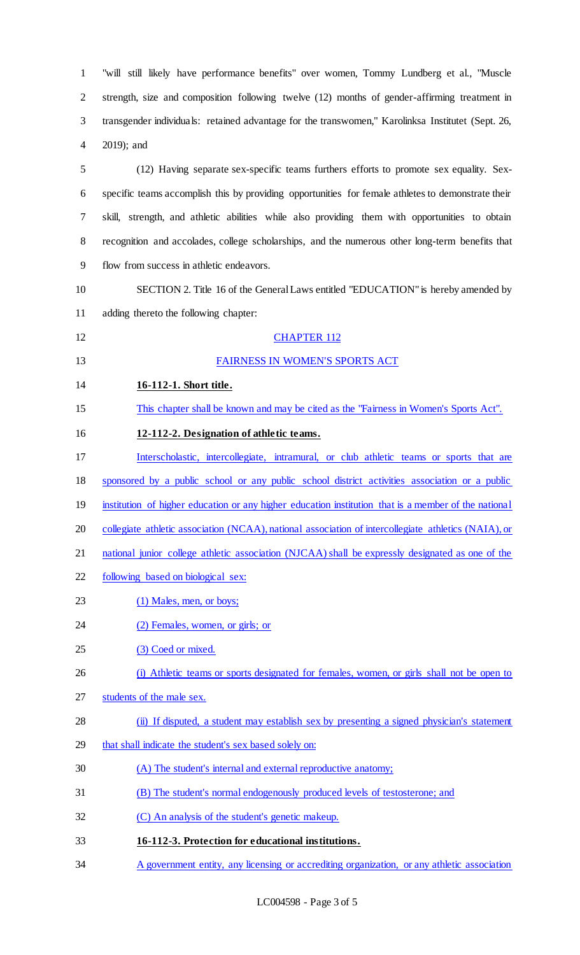"will still likely have performance benefits" over women, Tommy Lundberg et al., "Muscle strength, size and composition following twelve (12) months of gender-affirming treatment in transgender individuals: retained advantage for the transwomen," Karolinksa Institutet (Sept. 26, 2019); and

 (12) Having separate sex-specific teams furthers efforts to promote sex equality. Sex- specific teams accomplish this by providing opportunities for female athletes to demonstrate their skill, strength, and athletic abilities while also providing them with opportunities to obtain recognition and accolades, college scholarships, and the numerous other long-term benefits that flow from success in athletic endeavors.

- SECTION 2. Title 16 of the General Laws entitled "EDUCATION" is hereby amended by adding thereto the following chapter:
- 12 CHAPTER 112

**16-112-1. Short title.** 

- 
- 

# FAIRNESS IN WOMEN'S SPORTS ACT

- This chapter shall be known and may be cited as the "Fairness in Women's Sports Act".
- **12-112-2. Designation of athletic teams.**
- Interscholastic, intercollegiate, intramural, or club athletic teams or sports that are
- sponsored by a public school or any public school district activities association or a public
- 19 institution of higher education or any higher education institution that is a member of the national
- 20 collegiate athletic association (NCAA), national association of intercollegiate athletics (NAIA), or
- national junior college athletic association (NJCAA) shall be expressly designated as one of the
- following based on biological sex:
- 23 (1) Males, men, or boys;
- 24 (2) Females, women, or girls; or
- 25 (3) Coed or mixed.
- 26 (i) Athletic teams or sports designated for females, women, or girls shall not be open to
- students of the male sex.
- (ii) If disputed, a student may establish sex by presenting a signed physician's statement
- that shall indicate the student's sex based solely on:
- (A) The student's internal and external reproductive anatomy;
- (B) The student's normal endogenously produced levels of testosterone; and
- (C) An analysis of the student's genetic makeup.
- **16-112-3. Protection for educational institutions.**
- A government entity, any licensing or accrediting organization, or any athletic association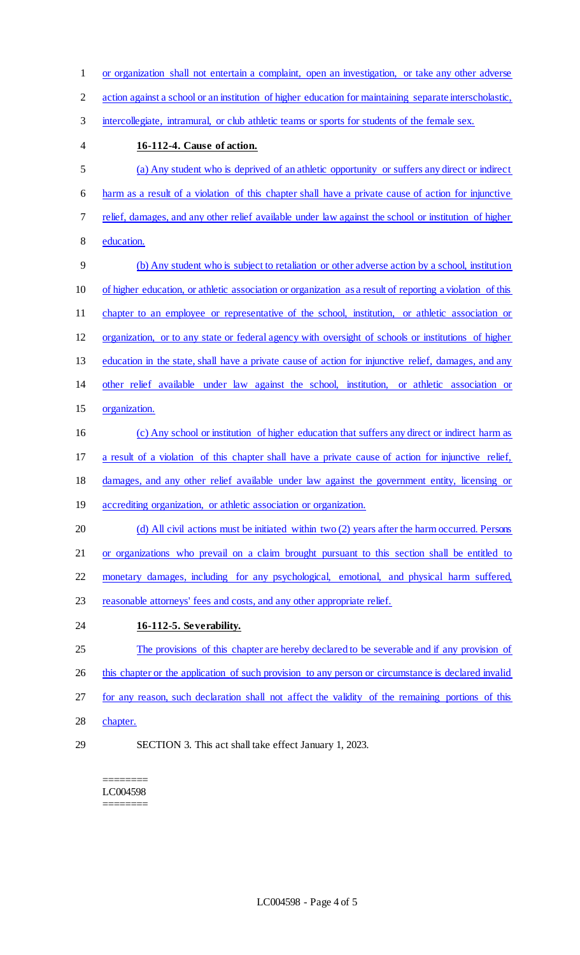- or organization shall not entertain a complaint, open an investigation, or take any other adverse action against a school or an institution of higher education for maintaining separate interscholastic, 3 intercollegiate, intramural, or club athletic teams or sports for students of the female sex. **16-112-4. Cause of action.** (a) Any student who is deprived of an athletic opportunity or suffers any direct or indirect harm as a result of a violation of this chapter shall have a private cause of action for injunctive relief, damages, and any other relief available under law against the school or institution of higher education. (b) Any student who is subject to retaliation or other adverse action by a school, institution of higher education, or athletic association or organization as a result of reporting a violation of this chapter to an employee or representative of the school, institution, or athletic association or organization, or to any state or federal agency with oversight of schools or institutions of higher education in the state, shall have a private cause of action for injunctive relief, damages, and any other relief available under law against the school, institution, or athletic association or organization. (c) Any school or institution of higher education that suffers any direct or indirect harm as a result of a violation of this chapter shall have a private cause of action for injunctive relief, damages, and any other relief available under law against the government entity, licensing or 19 accrediting organization, or athletic association or organization. 20 (d) All civil actions must be initiated within two (2) years after the harm occurred. Persons or organizations who prevail on a claim brought pursuant to this section shall be entitled to monetary damages, including for any psychological, emotional, and physical harm suffered, reasonable attorneys' fees and costs, and any other appropriate relief. **16-112-5. Severability.**  The provisions of this chapter are hereby declared to be severable and if any provision of 26 this chapter or the application of such provision to any person or circumstance is declared invalid for any reason, such declaration shall not affect the validity of the remaining portions of this chapter.
- 

SECTION 3. This act shall take effect January 1, 2023.

======== LC004598 ========